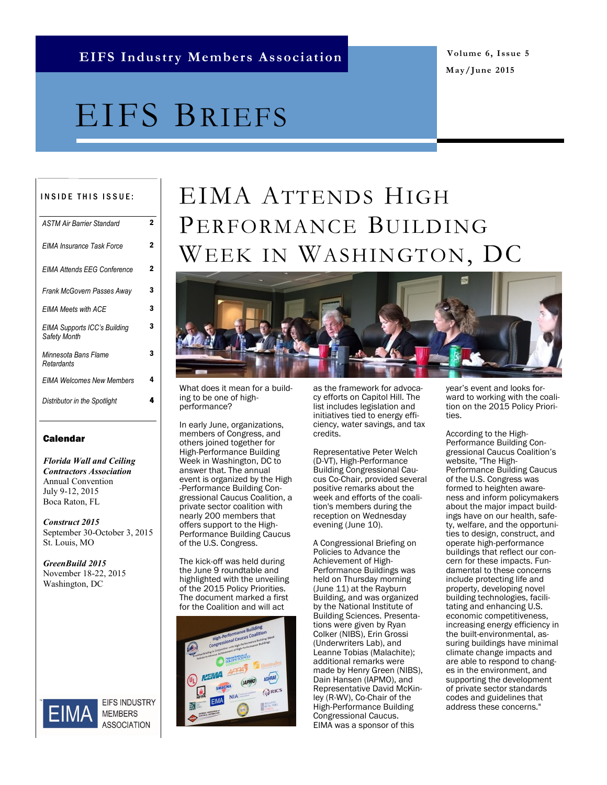**Volume 6, Issue 5 May/June 2015**

# EIFS BRIEFS

| <b>INSIDE THIS ISSUE:</b> |  |  |
|---------------------------|--|--|
|                           |  |  |

| <b>ASTM Air Barrier Standard</b>             | 2 |
|----------------------------------------------|---|
| EIMA Insurance Task Force                    | 2 |
| <b>EIMA Attends EEG Conference</b>           | 2 |
| Frank McGovern Passes Away                   | 3 |
| <b>EIMA Meets with ACE</b>                   | 3 |
| EIMA Supports ICC's Building<br>Safety Month | 3 |
| Minnesota Bans Flame<br>Retardants           | 3 |
| <b>EIMA Welcomes New Members</b>             | 4 |
| Distributor in the Spotlight                 | 4 |

#### Calendar

*Florida Wall and Ceiling Contractors Association*  Annual Convention July 9-12, 2015 Boca Raton, FL

*Construct 2015*  September 30-October 3, 2015 St. Louis, MO

*GreenBuild 2015*  November 18-22, 2015 Washington, DC



**EIFS INDUSTRY MEMBERS ASSOCIATION** 

## EIMA ATTENDS HIGH PERFORMANCE BUILDING WEEK IN WASHINGTON, DC



What does it mean for a building to be one of highperformance?

In early June, organizations, members of Congress, and others joined together for High-Performance Building Week in Washington, DC to answer that. The annual event is organized by the High -Performance Building Congressional Caucus Coalition, a private sector coalition with nearly 200 members that offers support to the High-Performance Building Caucus of the U.S. Congress.

The kick-off was held during the June 9 roundtable and highlighted with the unveiling of the 2015 Policy Priorities. The document marked a first for the Coalition and will act



as the framework for advocacy efforts on Capitol Hill. The list includes legislation and initiatives tied to energy efficiency, water savings, and tax credits.

Representative Peter Welch (D-VT), High-Performance Building Congressional Caucus Co-Chair, provided several positive remarks about the week and efforts of the coalition's members during the reception on Wednesday evening (June 10).

A Congressional Briefing on Policies to Advance the Achievement of High-Performance Buildings was held on Thursday morning (June 11) at the Rayburn Building, and was organized by the National Institute of Building Sciences. Presentations were given by Ryan Colker (NIBS), Erin Grossi (Underwriters Lab), and Leanne Tobias (Malachite); additional remarks were made by Henry Green (NIBS), Dain Hansen (IAPMO), and Representative David McKinley (R-WV), Co-Chair of the High-Performance Building Congressional Caucus. EIMA was a sponsor of this

year's event and looks forward to working with the coalition on the 2015 Policy Priorities.

According to the High-Performance Building Congressional Caucus Coalition's website, "The High-Performance Building Caucus of the U.S. Congress was formed to heighten awareness and inform policymakers about the major impact buildings have on our health, safety, welfare, and the opportunities to design, construct, and operate high-performance buildings that reflect our concern for these impacts. Fundamental to these concerns include protecting life and property, developing novel building technologies, facilitating and enhancing U.S. economic competitiveness, increasing energy efficiency in the built-environmental, assuring buildings have minimal climate change impacts and are able to respond to changes in the environment, and supporting the development of private sector standards codes and guidelines that address these concerns."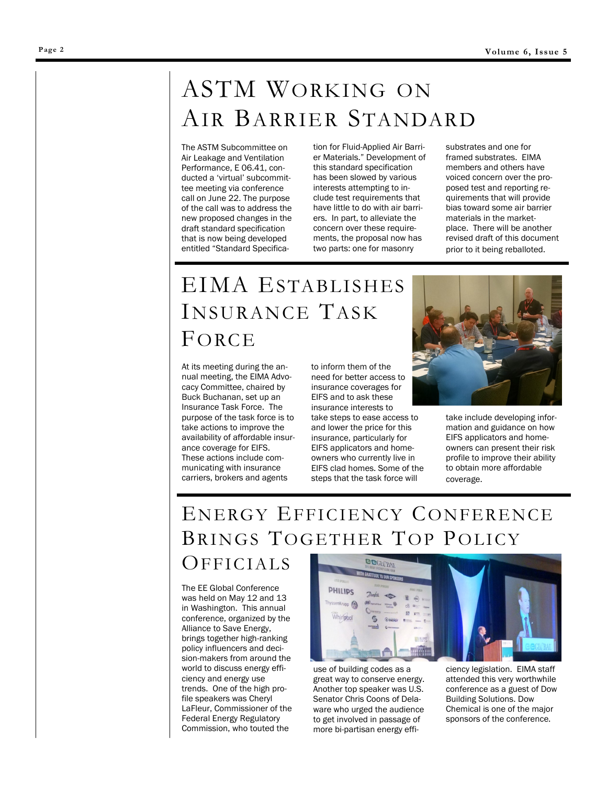### ASTM WORKING ON AIR BARRIER STANDARD

The ASTM Subcommittee on Air Leakage and Ventilation Performance, E 06.41, conducted a 'virtual' subcommittee meeting via conference call on June 22. The purpose of the call was to address the new proposed changes in the draft standard specification that is now being developed entitled "Standard Specification for Fluid-Applied Air Barrier Materials." Development of this standard specification has been slowed by various interests attempting to include test requirements that have little to do with air barriers. In part, to alleviate the concern over these requirements, the proposal now has two parts: one for masonry

substrates and one for framed substrates. EIMA members and others have voiced concern over the proposed test and reporting requirements that will provide bias toward some air barrier materials in the marketplace. There will be another revised draft of this document prior to it being reballoted.

### EIMA ESTABLISHES INSURANCE TASK FORCE

At its meeting during the annual meeting, the EIMA Advocacy Committee, chaired by Buck Buchanan, set up an Insurance Task Force. The purpose of the task force is to take actions to improve the availability of affordable insurance coverage for EIFS. These actions include communicating with insurance carriers, brokers and agents

to inform them of the need for better access to insurance coverages for EIFS and to ask these insurance interests to take steps to ease access to and lower the price for this insurance, particularly for EIFS applicators and homeowners who currently live in EIFS clad homes. Some of the steps that the task force will



take include developing information and guidance on how EIFS applicators and homeowners can present their risk profile to improve their ability to obtain more affordable coverage.

### ENERGY EFFICIENCY CONFERENCE BRINGS TOGETHER TOP POLICY

### **OFFICIALS**

The EE Global Conference was held on May 12 and 13 in Washington. This annual conference, organized by the Alliance to Save Energy, brings together high-ranking policy influencers and decision-makers from around the world to discuss energy efficiency and energy use trends. One of the high profile speakers was Cheryl LaFleur, Commissioner of the Federal Energy Regulatory Commission, who touted the

BBGICBAT **PHILIPS** 

use of building codes as a great way to conserve energy. Another top speaker was U.S. Senator Chris Coons of Delaware who urged the audience to get involved in passage of more bi-partisan energy effi-



ciency legislation. EIMA staff attended this very worthwhile conference as a guest of Dow Building Solutions. Dow Chemical is one of the major sponsors of the conference.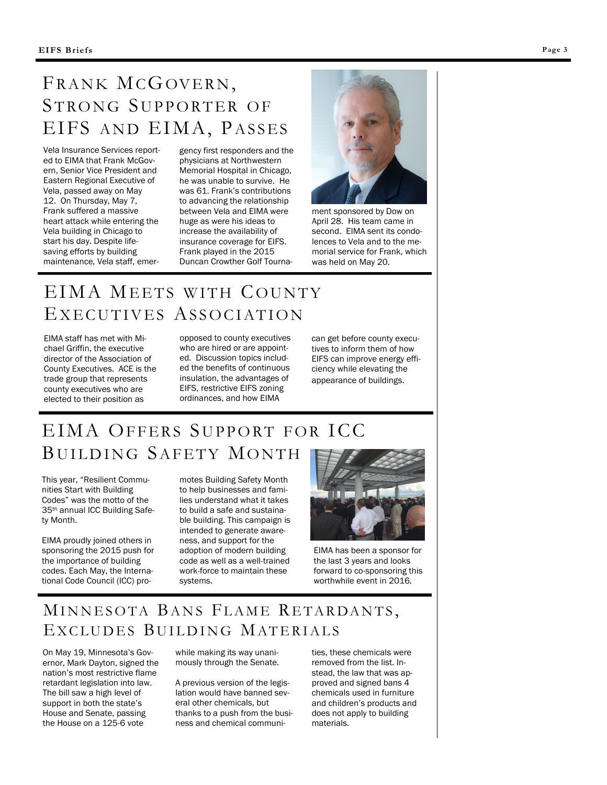### FRANK MCGOVERN, STRONG SUPPORTER OF EIFS AND EIMA, PASSES

Vela Insurance Services reported to EIMA that Frank McGovern, Senior Vice President and Eastern Regional Executive of Vela, passed away on May 12. On Thursday, May 7, Frank suffered a massive heart attack while entering the Vela building in Chicago to start his day. Despite lifesaving efforts by building maintenance, Vela staff, emergency first responders and the physicians at Northwestern Memorial Hospital in Chicago, he was unable to survive. He was 61. Frank's contributions to advancing the relationship between Vela and EIMA were huge as were his ideas to increase the availability of insurance coverage for EIFS. Frank played in the 2015 Duncan Crowther Golf Tourna-



ment sponsored by Dow on April 28. His team came in second. EIMA sent its condolences to Vela and to the memorial service for Frank, which was held on May 20.

### EIMA MEETS WITH COUNTY EXECUTIVES ASSOCIATION

EIMA staff has met with Michael Griffin, the executive director of the Association of County Executives. ACE is the trade group that represents county executives who are elected to their position as

opposed to county executives who are hired or are appointed. Discussion topics included the benefits of continuous insulation, the advantages of EIFS, restrictive EIFS zoning ordinances, and how EIMA

can get before county executives to inform them of how EIFS can improve energy efficiency while elevating the appearance of buildings.

### EIMA OFFERS SUPPORT FOR ICC BUILDING SAFETY MONTH

This year, "Resilient Communities Start with Building Codes" was the motto of the 35th annual ICC Building Safety Month.

EIMA proudly joined others in sponsoring the 2015 push for the importance of building codes. Each May, the International Code Council (ICC) promotes Building Safety Month to help businesses and families understand what it takes to build a safe and sustainable building. This campaign is intended to generate awareness, and support for the adoption of modern building code as well as a well-trained work-force to maintain these systems.



EIMA has been a sponsor for the last 3 years and looks forward to co-sponsoring this worthwhile event in 2016.

### MINNESOTA BANS FLAME RETARDANTS, EXCLUDES BUILDING MATERIALS

On May 19, Minnesota's Governor, Mark Dayton, signed the nation's most restrictive flame retardant legislation into law. The bill saw a high level of support in both the state's House and Senate, passing the House on a 125-6 vote

while making its way unanimously through the Senate.

A previous version of the legislation would have banned several other chemicals, but thanks to a push from the business and chemical communities, these chemicals were removed from the list. Instead, the law that was approved and signed bans 4 chemicals used in furniture and children's products and does not apply to building materials.